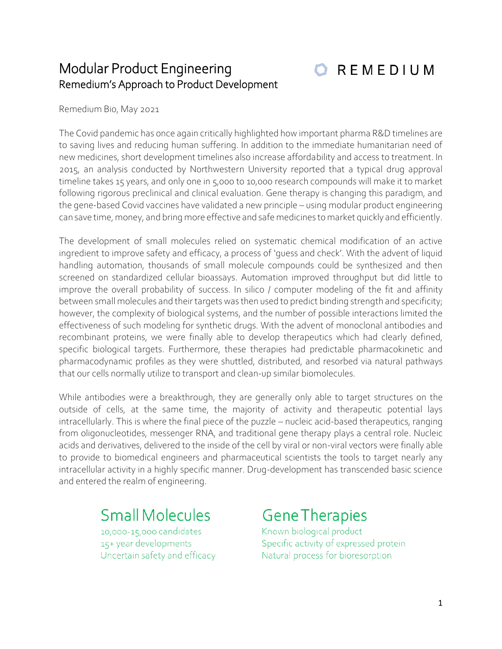## Modular Product Engineering Remedium's Approach to Product Development



Remedium Bio, May 2021

The Covid pandemic has once again critically highlighted how important pharma R&D timelines are to saving lives and reducing human suffering. In addition to the immediate humanitarian need of new medicines, short development timelines also increase affordability and access to treatment. In 2015, an analysis conducted by Northwestern University reported that a typical drug approval timeline takes 15 years, and only one in 5,000 to 10,000 research compounds will make it to market following rigorous preclinical and clinical evaluation. Gene therapy is changing this paradigm, and the gene-based Covid vaccines have validated a new principle – using modular product engineering can save time, money, and bring more effective and safe medicines to market quickly and efficiently.

The development of small molecules relied on systematic chemical modification of an active ingredient to improve safety and efficacy, a process of 'guess and check'. With the advent of liquid handling automation, thousands of small molecule compounds could be synthesized and then screened on standardized cellular bioassays. Automation improved throughput but did little to improve the overall probability of success. In silico / computer modeling of the fit and affinity between small molecules and their targets was then used to predict binding strength and specificity; however, the complexity of biological systems, and the number of possible interactions limited the effectiveness of such modeling for synthetic drugs. With the advent of monoclonal antibodies and recombinant proteins, we were finally able to develop therapeutics which had clearly defined, specific biological targets. Furthermore, these therapies had predictable pharmacokinetic and pharmacodynamic profiles as they were shuttled, distributed, and resorbed via natural pathways that our cells normally utilize to transport and clean-up similar biomolecules.

While antibodies were a breakthrough, they are generally only able to target structures on the outside of cells, at the same time, the majority of activity and therapeutic potential lays intracellularly. This is where the final piece of the puzzle – nucleic acid-based therapeutics, ranging from oligonucleotides, messenger RNA, and traditional gene therapy plays a central role. Nucleic acids and derivatives, delivered to the inside of the cell by viral or non-viral vectors were finally able to provide to biomedical engineers and pharmaceutical scientists the tools to target nearly any intracellular activity in a highly specific manner. Drug-development has transcended basic science and entered the realm of engineering.

## **Small Molecules**

10,000-15,000 candidates 15+ year developments Uncertain safety and efficacy

## **Gene Therapies**

Known biological product Specific activity of expressed protein Natural process for bioresorption